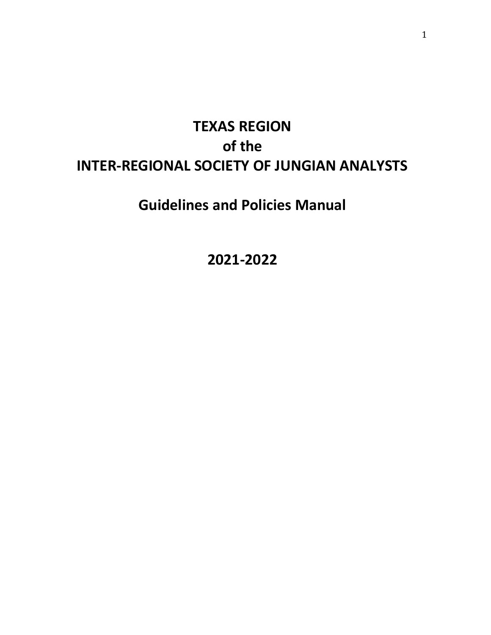# **TEXAS REGION of the INTER-REGIONAL SOCIETY OF JUNGIAN ANALYSTS**

# **Guidelines and Policies Manual**

**2021-2022**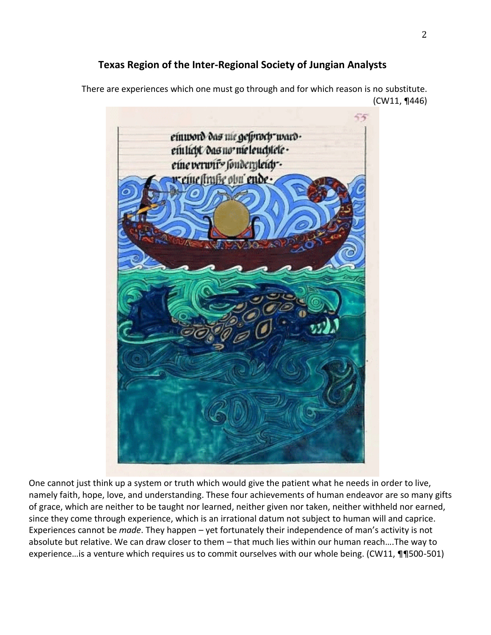# **Texas Region of the Inter-Regional Society of Jungian Analysts**

There are experiences which one must go through and for which reason is no substitute. (CW11, ¶446)



One cannot just think up a system or truth which would give the patient what he needs in order to live, namely faith, hope, love, and understanding. These four achievements of human endeavor are so many gifts of grace, which are neither to be taught nor learned, neither given nor taken, neither withheld nor earned, since they come through experience, which is an irrational datum not subject to human will and caprice. Experiences cannot be *made*. They happen – yet fortunately their independence of man's activity is not absolute but relative. We can draw closer to them – that much lies within our human reach….The way to experience... is a venture which requires us to commit ourselves with our whole being. (CW11, ¶¶500-501)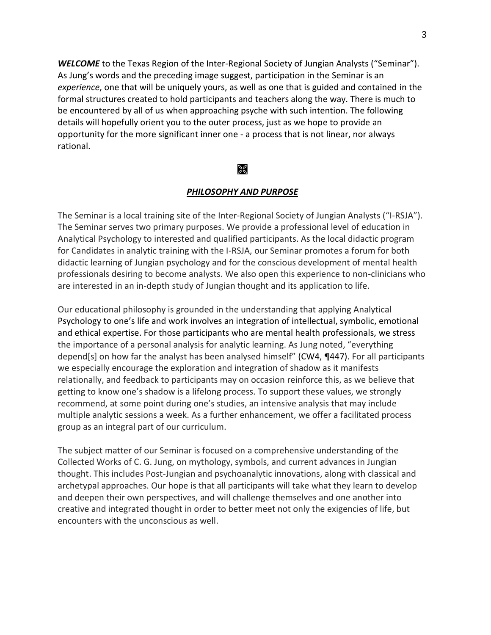*WELCOME* to the Texas Region of the Inter-Regional Society of Jungian Analysts ("Seminar"). As Jung's words and the preceding image suggest, participation in the Seminar is an *experience*, one that will be uniquely yours, as well as one that is guided and contained in the formal structures created to hold participants and teachers along the way. There is much to be encountered by all of us when approaching psyche with such intention. The following details will hopefully orient you to the outer process, just as we hope to provide an opportunity for the more significant inner one - a process that is not linear, nor always rational.

#### $\mathbb{R}$

#### *PHILOSOPHY AND PURPOSE*

The Seminar is a local training site of the Inter-Regional Society of Jungian Analysts ("I-RSJA"). The Seminar serves two primary purposes. We provide a professional level of education in Analytical Psychology to interested and qualified participants. As the local didactic program for Candidates in analytic training with the I-RSJA, our Seminar promotes a forum for both didactic learning of Jungian psychology and for the conscious development of mental health professionals desiring to become analysts. We also open this experience to non-clinicians who are interested in an in-depth study of Jungian thought and its application to life.

Our educational philosophy is grounded in the understanding that applying Analytical Psychology to one's life and work involves an integration of intellectual, symbolic, emotional and ethical expertise. For those participants who are mental health professionals, we stress the importance of a personal analysis for analytic learning. As Jung noted, "everything depend[s] on how far the analyst has been analysed himself" (CW4, ¶447). For all participants we especially encourage the exploration and integration of shadow as it manifests relationally, and feedback to participants may on occasion reinforce this, as we believe that getting to know one's shadow is a lifelong process. To support these values, we strongly recommend, at some point during one's studies, an intensive analysis that may include multiple analytic sessions a week. As a further enhancement, we offer a facilitated process group as an integral part of our curriculum.

The subject matter of our Seminar is focused on a comprehensive understanding of the Collected Works of C. G. Jung, on mythology, symbols, and current advances in Jungian thought. This includes Post-Jungian and psychoanalytic innovations, along with classical and archetypal approaches. Our hope is that all participants will take what they learn to develop and deepen their own perspectives, and will challenge themselves and one another into creative and integrated thought in order to better meet not only the exigencies of life, but encounters with the unconscious as well.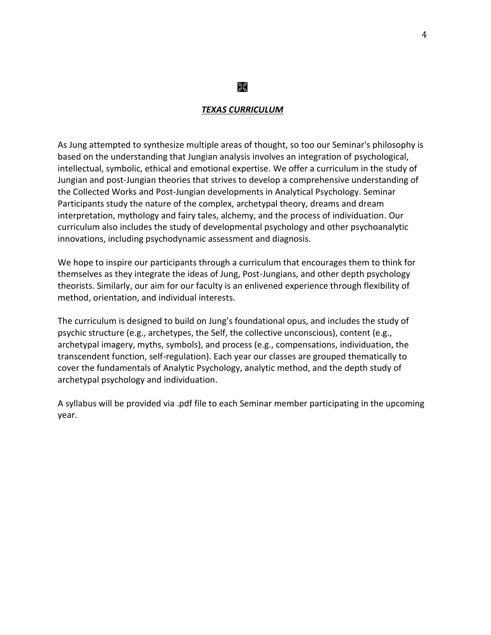#### *TEXAS CURRICULUM*

 $\geqslant$ 

As Jung attempted to synthesize multiple areas of thought, so too our Seminar's philosophy is based on the understanding that Jungian analysis involves an integration of psychological, intellectual, symbolic, ethical and emotional expertise. We offer a curriculum in the study of Jungian and post-Jungian theories that strives to develop a comprehensive understanding of the Collected Works and Post-Jungian developments in Analytical Psychology. Seminar Participants study the nature of the complex, archetypal theory, dreams and dream interpretation, mythology and fairy tales, alchemy, and the process of individuation. Our curriculum also includes the study of developmental psychology and other psychoanalytic innovations, including psychodynamic assessment and diagnosis.

We hope to inspire our participants through a curriculum that encourages them to think for themselves as they integrate the ideas of Jung, Post-Jungians, and other depth psychology theorists. Similarly, our aim for our faculty is an enlivened experience through flexibility of method, orientation, and individual interests.

The curriculum is designed to build on Jung's foundational opus, and includes the study of psychic structure (e.g., archetypes, the Self, the collective unconscious), content (e.g., archetypal imagery, myths, symbols), and process (e.g., compensations, individuation, the transcendent function, self-regulation). Each year our classes are grouped thematically to cover the fundamentals of Analytic Psychology, analytic method, and the depth study of archetypal psychology and individuation.

A syllabus will be provided via .pdf file to each Seminar member participating in the upcoming year.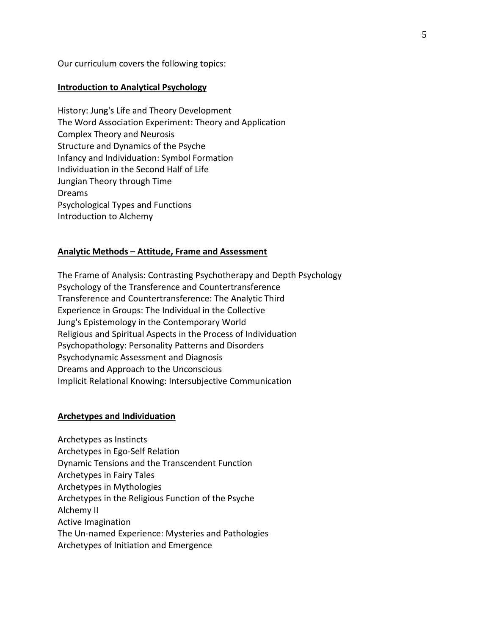Our curriculum covers the following topics:

#### **Introduction to Analytical Psychology**

History: Jung's Life and Theory Development The Word Association Experiment: Theory and Application Complex Theory and Neurosis Structure and Dynamics of the Psyche Infancy and Individuation: Symbol Formation Individuation in the Second Half of Life Jungian Theory through Time Dreams Psychological Types and Functions Introduction to Alchemy

#### **Analytic Methods – Attitude, Frame and Assessment**

The Frame of Analysis: Contrasting Psychotherapy and Depth Psychology Psychology of the Transference and Countertransference Transference and Countertransference: The Analytic Third Experience in Groups: The Individual in the Collective Jung's Epistemology in the Contemporary World Religious and Spiritual Aspects in the Process of Individuation Psychopathology: Personality Patterns and Disorders Psychodynamic Assessment and Diagnosis Dreams and Approach to the Unconscious Implicit Relational Knowing: Intersubjective Communication

#### **Archetypes and Individuation**

Archetypes as Instincts Archetypes in Ego-Self Relation Dynamic Tensions and the Transcendent Function Archetypes in Fairy Tales Archetypes in Mythologies Archetypes in the Religious Function of the Psyche Alchemy II Active Imagination The Un-named Experience: Mysteries and Pathologies Archetypes of Initiation and Emergence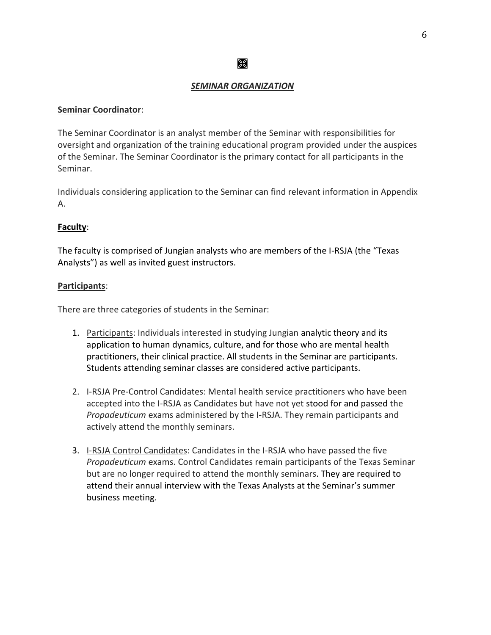#### *SEMINAR ORGANIZATION*

 $\mathbb{R}$ 

#### **Seminar Coordinator**:

The Seminar Coordinator is an analyst member of the Seminar with responsibilities for oversight and organization of the training educational program provided under the auspices of the Seminar. The Seminar Coordinator is the primary contact for all participants in the Seminar.

Individuals considering application to the Seminar can find relevant information in Appendix A.

#### **Faculty**:

The faculty is comprised of Jungian analysts who are members of the I-RSJA (the "Texas Analysts") as well as invited guest instructors.

#### **Participants**:

There are three categories of students in the Seminar:

- 1. Participants: Individuals interested in studying Jungian analytic theory and its application to human dynamics, culture, and for those who are mental health practitioners, their clinical practice. All students in the Seminar are participants. Students attending seminar classes are considered active participants.
- 2. I-RSJA Pre-Control Candidates: Mental health service practitioners who have been accepted into the I-RSJA as Candidates but have not yet stood for and passed the *Propadeuticum* exams administered by the I-RSJA. They remain participants and actively attend the monthly seminars.
- 3. I-RSJA Control Candidates: Candidates in the I-RSJA who have passed the five *Propadeuticum* exams. Control Candidates remain participants of the Texas Seminar but are no longer required to attend the monthly seminars. They are required to attend their annual interview with the Texas Analysts at the Seminar's summer business meeting.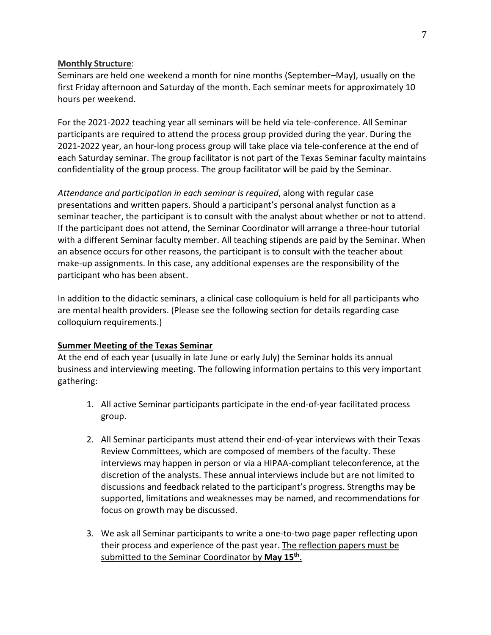#### **Monthly Structure**:

Seminars are held one weekend a month for nine months (September–May), usually on the first Friday afternoon and Saturday of the month. Each seminar meets for approximately 10 hours per weekend.

For the 2021-2022 teaching year all seminars will be held via tele-conference. All Seminar participants are required to attend the process group provided during the year. During the 2021-2022 year, an hour-long process group will take place via tele-conference at the end of each Saturday seminar. The group facilitator is not part of the Texas Seminar faculty maintains confidentiality of the group process. The group facilitator will be paid by the Seminar.

*Attendance and participation in each seminar is required*, along with regular case presentations and written papers. Should a participant's personal analyst function as a seminar teacher, the participant is to consult with the analyst about whether or not to attend. If the participant does not attend, the Seminar Coordinator will arrange a three-hour tutorial with a different Seminar faculty member. All teaching stipends are paid by the Seminar. When an absence occurs for other reasons, the participant is to consult with the teacher about make-up assignments. In this case, any additional expenses are the responsibility of the participant who has been absent.

In addition to the didactic seminars, a clinical case colloquium is held for all participants who are mental health providers. (Please see the following section for details regarding case colloquium requirements.)

#### **Summer Meeting of the Texas Seminar**

At the end of each year (usually in late June or early July) the Seminar holds its annual business and interviewing meeting. The following information pertains to this very important gathering:

- 1. All active Seminar participants participate in the end-of-year facilitated process group.
- 2. All Seminar participants must attend their end-of-year interviews with their Texas Review Committees, which are composed of members of the faculty. These interviews may happen in person or via a HIPAA-compliant teleconference, at the discretion of the analysts. These annual interviews include but are not limited to discussions and feedback related to the participant's progress. Strengths may be supported, limitations and weaknesses may be named, and recommendations for focus on growth may be discussed.
- 3. We ask all Seminar participants to write a one-to-two page paper reflecting upon their process and experience of the past year. The reflection papers must be submitted to the Seminar Coordinator by May 15<sup>th</sup>.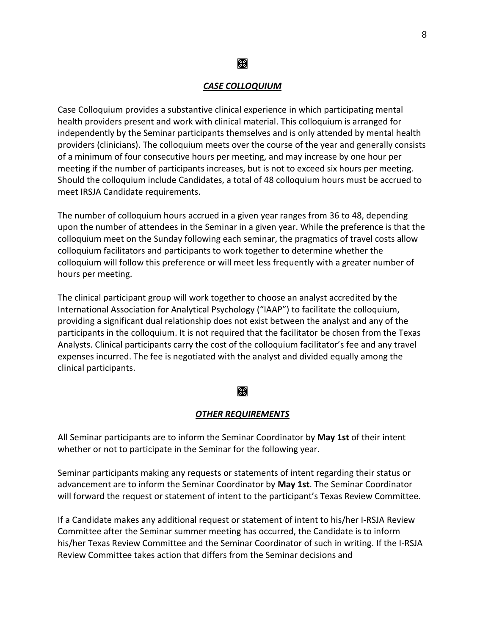#### *CASE COLLOQUIUM*

≫

Case Colloquium provides a substantive clinical experience in which participating mental health providers present and work with clinical material. This colloquium is arranged for independently by the Seminar participants themselves and is only attended by mental health providers (clinicians). The colloquium meets over the course of the year and generally consists of a minimum of four consecutive hours per meeting, and may increase by one hour per meeting if the number of participants increases, but is not to exceed six hours per meeting. Should the colloquium include Candidates, a total of 48 colloquium hours must be accrued to meet IRSJA Candidate requirements.

The number of colloquium hours accrued in a given year ranges from 36 to 48, depending upon the number of attendees in the Seminar in a given year. While the preference is that the colloquium meet on the Sunday following each seminar, the pragmatics of travel costs allow colloquium facilitators and participants to work together to determine whether the colloquium will follow this preference or will meet less frequently with a greater number of hours per meeting.

The clinical participant group will work together to choose an analyst accredited by the International Association for Analytical Psychology ("IAAP") to facilitate the colloquium, providing a significant dual relationship does not exist between the analyst and any of the participants in the colloquium. It is not required that the facilitator be chosen from the Texas Analysts. Clinical participants carry the cost of the colloquium facilitator's fee and any travel expenses incurred. The fee is negotiated with the analyst and divided equally among the clinical participants.

#### 28

#### *OTHER REQUIREMENTS*

All Seminar participants are to inform the Seminar Coordinator by **May 1st** of their intent whether or not to participate in the Seminar for the following year.

Seminar participants making any requests or statements of intent regarding their status or advancement are to inform the Seminar Coordinator by **May 1st**. The Seminar Coordinator will forward the request or statement of intent to the participant's Texas Review Committee.

If a Candidate makes any additional request or statement of intent to his/her I-RSJA Review Committee after the Seminar summer meeting has occurred, the Candidate is to inform his/her Texas Review Committee and the Seminar Coordinator of such in writing. If the I-RSJA Review Committee takes action that differs from the Seminar decisions and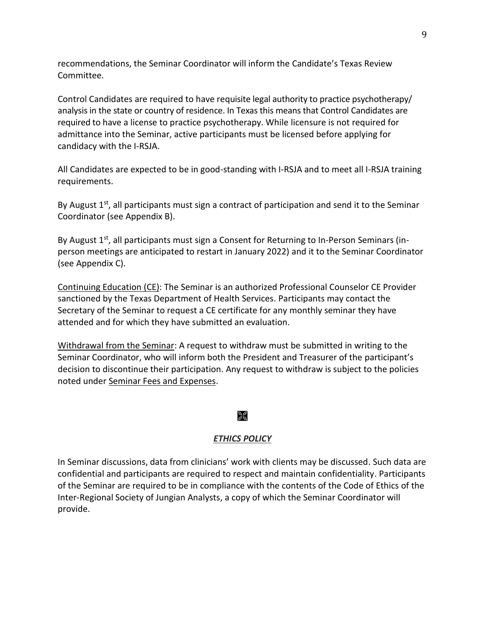recommendations, the Seminar Coordinator will inform the Candidate's Texas Review Committee.

Control Candidates are required to have requisite legal authority to practice psychotherapy/ analysis in the state or country of residence. In Texas this means that Control Candidates are required to have a license to practice psychotherapy. While licensure is not required for admittance into the Seminar, active participants must be licensed before applying for candidacy with the I-RSJA.

All Candidates are expected to be in good-standing with I-RSJA and to meet all I-RSJA training requirements.

By August  $1^{st}$ , all participants must sign a contract of participation and send it to the Seminar Coordinator (see Appendix B).

By August 1<sup>st</sup>, all participants must sign a Consent for Returning to In-Person Seminars (inperson meetings are anticipated to restart in January 2022) and it to the Seminar Coordinator (see Appendix C).

Continuing Education (CE): The Seminar is an authorized Professional Counselor CE Provider sanctioned by the Texas Department of Health Services. Participants may contact the Secretary of the Seminar to request a CE certificate for any monthly seminar they have attended and for which they have submitted an evaluation.

Withdrawal from the Seminar: A request to withdraw must be submitted in writing to the Seminar Coordinator, who will inform both the President and Treasurer of the participant's decision to discontinue their participation. Any request to withdraw is subject to the policies noted under Seminar Fees and Expenses.

## $\mathbb{R}$

## *ETHICS POLICY*

In Seminar discussions, data from clinicians' work with clients may be discussed. Such data are confidential and participants are required to respect and maintain confidentiality. Participants of the Seminar are required to be in compliance with the contents of the Code of Ethics of the Inter-Regional Society of Jungian Analysts, a copy of which the Seminar Coordinator will provide.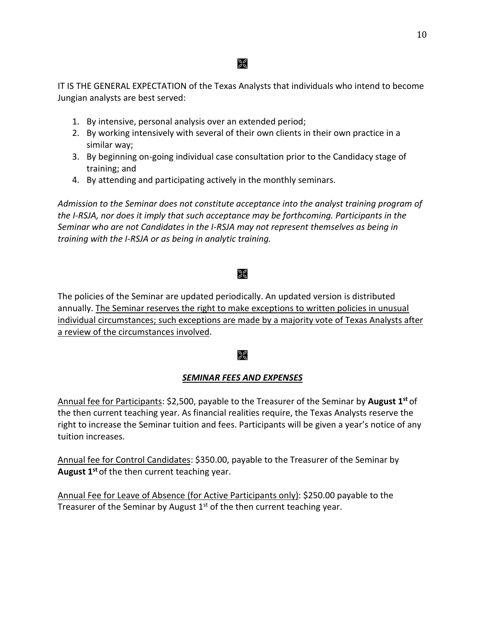## ୁମ

IT IS THE GENERAL EXPECTATION of the Texas Analysts that individuals who intend to become Jungian analysts are best served:

- 1. By intensive, personal analysis over an extended period;
- 2. By working intensively with several of their own clients in their own practice in a similar way;
- 3. By beginning on-going individual case consultation prior to the Candidacy stage of training; and
- 4. By attending and participating actively in the monthly seminars.

*Admission to the Seminar does not constitute acceptance into the analyst training program of the I-RSJA, nor does it imply that such acceptance may be forthcoming. Participants in the Seminar who are not Candidates in the I-RSJA may not represent themselves as being in training with the I-RSJA or as being in analytic training.* 

## $\frac{1}{26}$

The policies of the Seminar are updated periodically. An updated version is distributed annually. The Seminar reserves the right to make exceptions to written policies in unusual individual circumstances; such exceptions are made by a majority vote of Texas Analysts after a review of the circumstances involved.

## $\mathbb{R}$

## *SEMINAR FEES AND EXPENSES*

Annual fee for Participants: \$2,500, payable to the Treasurer of the Seminar by **August 1st** of the then current teaching year. As financial realities require, the Texas Analysts reserve the right to increase the Seminar tuition and fees. Participants will be given a year's notice of any tuition increases.

Annual fee for Control Candidates: \$350.00, payable to the Treasurer of the Seminar by **August 1st** of the then current teaching year.

Annual Fee for Leave of Absence (for Active Participants only): \$250.00 payable to the Treasurer of the Seminar by August  $1<sup>st</sup>$  of the then current teaching year.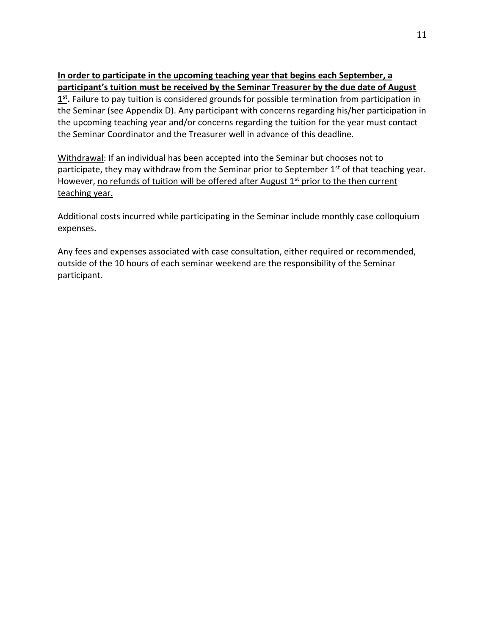#### **In order to participate in the upcoming teaching year that begins each September, a participant's tuition must be received by the Seminar Treasurer by the due date of August**

**1 st .** Failure to pay tuition is considered grounds for possible termination from participation in the Seminar (see Appendix D). Any participant with concerns regarding his/her participation in the upcoming teaching year and/or concerns regarding the tuition for the year must contact the Seminar Coordinator and the Treasurer well in advance of this deadline.

Withdrawal: If an individual has been accepted into the Seminar but chooses not to participate, they may withdraw from the Seminar prior to September  $1<sup>st</sup>$  of that teaching year. However, no refunds of tuition will be offered after August  $1<sup>st</sup>$  prior to the then current teaching year.

Additional costs incurred while participating in the Seminar include monthly case colloquium expenses.

Any fees and expenses associated with case consultation, either required or recommended, outside of the 10 hours of each seminar weekend are the responsibility of the Seminar participant.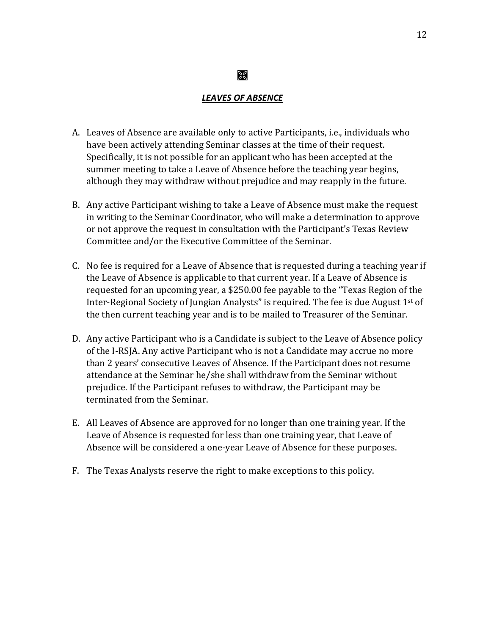#### *LEAVES OF ABSENCE*

 $\frac{1}{20}$ 

- A. Leaves of Absence are available only to active Participants, i.e., individuals who have been actively attending Seminar classes at the time of their request. Specifically, it is not possible for an applicant who has been accepted at the summer meeting to take a Leave of Absence before the teaching year begins, although they may withdraw without prejudice and may reapply in the future.
- B. Any active Participant wishing to take a Leave of Absence must make the request in writing to the Seminar Coordinator, who will make a determination to approve or not approve the request in consultation with the Participant's Texas Review Committee and/or the Executive Committee of the Seminar.
- C. No fee is required for a Leave of Absence that is requested during a teaching year if the Leave of Absence is applicable to that current year. If a Leave of Absence is requested for an upcoming year, a \$250.00 fee payable to the "Texas Region of the Inter-Regional Society of Jungian Analysts" is required. The fee is due August 1st of the then current teaching year and is to be mailed to Treasurer of the Seminar.
- D. Any active Participant who is a Candidate is subject to the Leave of Absence policy of the I-RSJA. Any active Participant who is not a Candidate may accrue no more than 2 years' consecutive Leaves of Absence. If the Participant does not resume attendance at the Seminar he/she shall withdraw from the Seminar without prejudice. If the Participant refuses to withdraw, the Participant may be terminated from the Seminar.
- E. All Leaves of Absence are approved for no longer than one training year. If the Leave of Absence is requested for less than one training year, that Leave of Absence will be considered a one-year Leave of Absence for these purposes.
- F. The Texas Analysts reserve the right to make exceptions to this policy.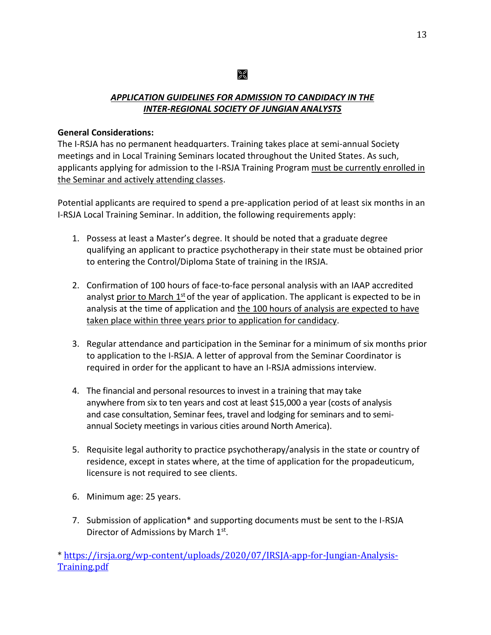## ⅀

## *APPLICATION GUIDELINES FOR ADMISSION TO CANDIDACY IN THE INTER-REGIONAL SOCIETY OF JUNGIAN ANALYSTS*

#### **General Considerations:**

The I-RSJA has no permanent headquarters. Training takes place at semi-annual Society meetings and in Local Training Seminars located throughout the United States. As such, applicants applying for admission to the I-RSJA Training Program must be currently enrolled in the Seminar and actively attending classes.

Potential applicants are required to spend a pre-application period of at least six months in an I-RSJA Local Training Seminar. In addition, the following requirements apply:

- 1. Possess at least a Master's degree. It should be noted that a graduate degree qualifying an applicant to practice psychotherapy in their state must be obtained prior to entering the Control/Diploma State of training in the IRSJA.
- 2. Confirmation of 100 hours of face-to-face personal analysis with an IAAP accredited analyst prior to March 1<sup>st</sup> of the year of application. The applicant is expected to be in analysis at the time of application and the 100 hours of analysis are expected to have taken place within three years prior to application for candidacy.
- 3. Regular attendance and participation in the Seminar for a minimum of six months prior to application to the I-RSJA. A letter of approval from the Seminar Coordinator is required in order for the applicant to have an I-RSJA admissions interview.
- 4. The financial and personal resources to invest in a training that may take anywhere from six to ten years and cost at least \$15,000 a year (costs of analysis and case consultation, Seminar fees, travel and lodging for seminars and to semiannual Society meetings in various cities around North America).
- 5. Requisite legal authority to practice psychotherapy/analysis in the state or country of residence, except in states where, at the time of application for the propadeuticum, licensure is not required to see clients.
- 6. Minimum age: 25 years.
- 7. Submission of application\* and supporting documents must be sent to the I-RSJA Director of Admissions by March 1<sup>st</sup>.

\* [https://irsja.org/wp-content/uploads/2020/07/IRSJA-app-for-Jungian-Analysis-](https://irsja.org/wp-content/uploads/2020/07/IRSJA-app-for-Jungian-Analysis-Training.pdf)[Training.pdf](https://irsja.org/wp-content/uploads/2020/07/IRSJA-app-for-Jungian-Analysis-Training.pdf)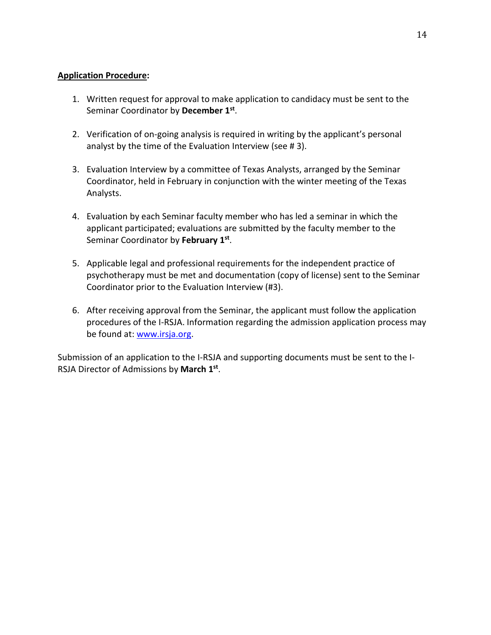#### **Application Procedure:**

- 1. Written request for approval to make application to candidacy must be sent to the Seminar Coordinator by **December 1 st** .
- 2. Verification of on-going analysis is required in writing by the applicant's personal analyst by the time of the Evaluation Interview (see # 3).
- 3. Evaluation Interview by a committee of Texas Analysts, arranged by the Seminar Coordinator, held in February in conjunction with the winter meeting of the Texas Analysts.
- 4. Evaluation by each Seminar faculty member who has led a seminar in which the applicant participated; evaluations are submitted by the faculty member to the Seminar Coordinator by February 1st.
- 5. Applicable legal and professional requirements for the independent practice of psychotherapy must be met and documentation (copy of license) sent to the Seminar Coordinator prior to the Evaluation Interview (#3).
- 6. After receiving approval from the Seminar, the applicant must follow the application procedures of the I-RSJA. Information regarding the admission application process may be found at: [www.irsja.org.](http://www.irsja.org/)

Submission of an application to the I-RSJA and supporting documents must be sent to the I-RSJA Director of Admissions by **March 1 st** .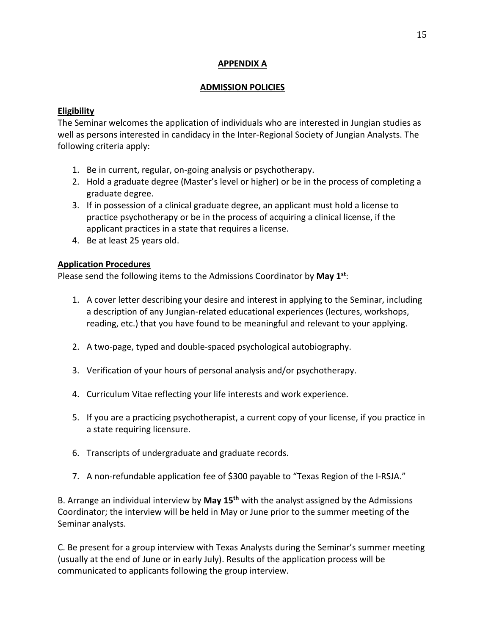### **APPENDIX A**

#### **ADMISSION POLICIES**

## **Eligibility**

The Seminar welcomes the application of individuals who are interested in Jungian studies as well as persons interested in candidacy in the Inter-Regional Society of Jungian Analysts. The following criteria apply:

- 1. Be in current, regular, on-going analysis or psychotherapy.
- 2. Hold a graduate degree (Master's level or higher) or be in the process of completing a graduate degree.
- 3. If in possession of a clinical graduate degree, an applicant must hold a license to practice psychotherapy or be in the process of acquiring a clinical license, if the applicant practices in a state that requires a license.
- 4. Be at least 25 years old.

## **Application Procedures**

Please send the following items to the Admissions Coordinator by **May 1 st**:

- 1. A cover letter describing your desire and interest in applying to the Seminar, including a description of any Jungian-related educational experiences (lectures, workshops, reading, etc.) that you have found to be meaningful and relevant to your applying.
- 2. A two-page, typed and double-spaced psychological autobiography.
- 3. Verification of your hours of personal analysis and/or psychotherapy.
- 4. Curriculum Vitae reflecting your life interests and work experience.
- 5. If you are a practicing psychotherapist, a current copy of your license, if you practice in a state requiring licensure.
- 6. Transcripts of undergraduate and graduate records.
- 7. A non-refundable application fee of \$300 payable to "Texas Region of the I-RSJA."

B. Arrange an individual interview by **May 15th** with the analyst assigned by the Admissions Coordinator; the interview will be held in May or June prior to the summer meeting of the Seminar analysts.

C. Be present for a group interview with Texas Analysts during the Seminar's summer meeting (usually at the end of June or in early July). Results of the application process will be communicated to applicants following the group interview.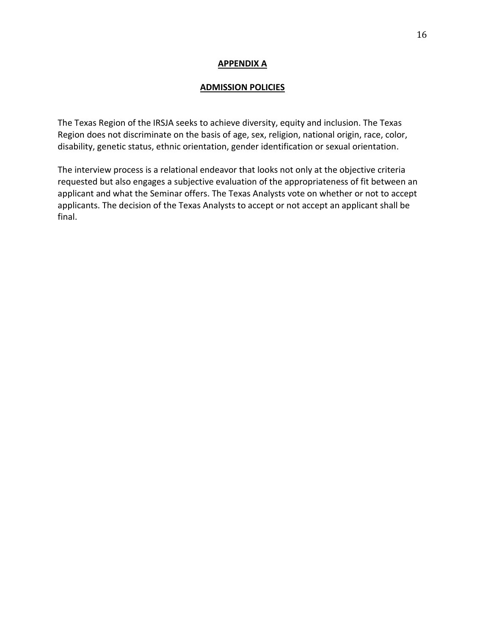#### **APPENDIX A**

#### **ADMISSION POLICIES**

The Texas Region of the IRSJA seeks to achieve diversity, equity and inclusion. The Texas Region does not discriminate on the basis of age, sex, religion, national origin, race, color, disability, genetic status, ethnic orientation, gender identification or sexual orientation.

The interview process is a relational endeavor that looks not only at the objective criteria requested but also engages a subjective evaluation of the appropriateness of fit between an applicant and what the Seminar offers. The Texas Analysts vote on whether or not to accept applicants. The decision of the Texas Analysts to accept or not accept an applicant shall be final.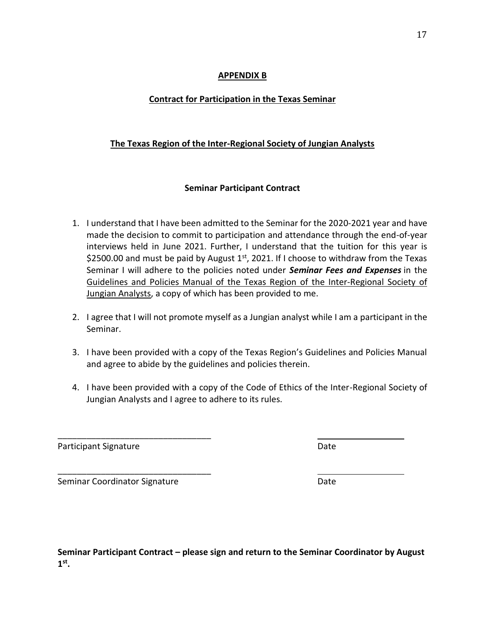#### **APPENDIX B**

## **Contract for Participation in the Texas Seminar**

## **The Texas Region of the Inter-Regional Society of Jungian Analysts**

### **Seminar Participant Contract**

- 1. I understand that I have been admitted to the Seminar for the 2020-2021 year and have made the decision to commit to participation and attendance through the end-of-year interviews held in June 2021. Further, I understand that the tuition for this year is \$2500.00 and must be paid by August  $1<sup>st</sup>$ , 2021. If I choose to withdraw from the Texas Seminar I will adhere to the policies noted under *Seminar Fees and Expenses* in the Guidelines and Policies Manual of the Texas Region of the Inter-Regional Society of Jungian Analysts, a copy of which has been provided to me.
- 2. I agree that I will not promote myself as a Jungian analyst while I am a participant in the Seminar.
- 3. I have been provided with a copy of the Texas Region's Guidelines and Policies Manual and agree to abide by the guidelines and policies therein.
- 4. I have been provided with a copy of the Code of Ethics of the Inter-Regional Society of Jungian Analysts and I agree to adhere to its rules.

Participant Signature **Date** Date **Date** 

Seminar Coordinator Signature **Date** Date

\_\_\_\_\_\_\_\_\_\_\_\_\_\_\_\_\_\_\_\_\_\_\_\_\_\_\_\_\_\_\_\_

\_\_\_\_\_\_\_\_\_\_\_\_\_\_\_\_\_\_\_\_\_\_\_\_\_\_\_\_\_\_\_\_

**Seminar Participant Contract – please sign and return to the Seminar Coordinator by August 1 st .**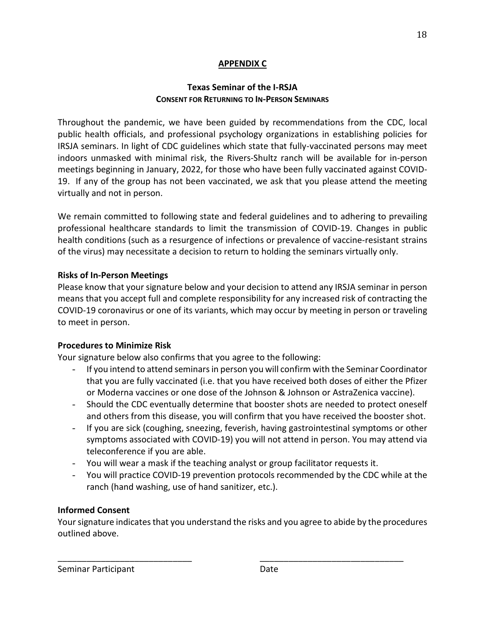## **APPENDIX C**

## **Texas Seminar of the I-RSJA CONSENT FOR RETURNING TO IN-PERSON SEMINARS**

Throughout the pandemic, we have been guided by recommendations from the CDC, local public health officials, and professional psychology organizations in establishing policies for IRSJA seminars. In light of CDC guidelines which state that fully-vaccinated persons may meet indoors unmasked with minimal risk, the Rivers-Shultz ranch will be available for in-person meetings beginning in January, 2022, for those who have been fully vaccinated against COVID-19. If any of the group has not been vaccinated, we ask that you please attend the meeting virtually and not in person.

We remain committed to following state and federal guidelines and to adhering to prevailing professional healthcare standards to limit the transmission of COVID-19. Changes in public health conditions (such as a resurgence of infections or prevalence of vaccine-resistant strains of the virus) may necessitate a decision to return to holding the seminars virtually only.

### **Risks of In-Person Meetings**

Please know that your signature below and your decision to attend any IRSJA seminar in person means that you accept full and complete responsibility for any increased risk of contracting the COVID-19 coronavirus or one of its variants, which may occur by meeting in person or traveling to meet in person.

#### **Procedures to Minimize Risk**

Your signature below also confirms that you agree to the following:

- If you intend to attend seminars in person you will confirm with the Seminar Coordinator that you are fully vaccinated (i.e. that you have received both doses of either the Pfizer or Moderna vaccines or one dose of the Johnson & Johnson or AstraZenica vaccine).
- Should the CDC eventually determine that booster shots are needed to protect oneself and others from this disease, you will confirm that you have received the booster shot.
- If you are sick (coughing, sneezing, feverish, having gastrointestinal symptoms or other symptoms associated with COVID-19) you will not attend in person. You may attend via teleconference if you are able.
- You will wear a mask if the teaching analyst or group facilitator requests it.
- You will practice COVID-19 prevention protocols recommended by the CDC while at the ranch (hand washing, use of hand sanitizer, etc.).

## **Informed Consent**

Your signature indicates that you understand the risks and you agree to abide by the procedures outlined above.

\_\_\_\_\_\_\_\_\_\_\_\_\_\_\_\_\_\_\_\_\_\_\_\_\_\_\_\_ \_\_\_\_\_\_\_\_\_\_\_\_\_\_\_\_\_\_\_\_\_\_\_\_\_\_\_\_\_\_

Seminar Participant Date